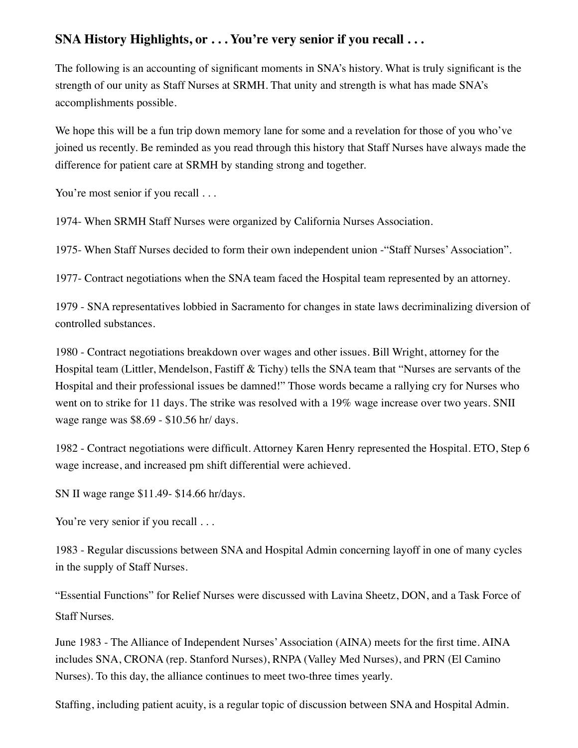# **SNA History Highlights, or . . . You're very senior if you recall . . .**

The following is an accounting of significant moments in SNA's history. What is truly significant is the strength of our unity as Staff Nurses at SRMH. That unity and strength is what has made SNA's accomplishments possible.

We hope this will be a fun trip down memory lane for some and a revelation for those of you who've joined us recently. Be reminded as you read through this history that Staff Nurses have always made the difference for patient care at SRMH by standing strong and together.

You're most senior if you recall ...

1974- When SRMH Staff Nurses were organized by California Nurses Association.

1975- When Staff Nurses decided to form their own independent union -"Staff Nurses' Association".

1977- Contract negotiations when the SNA team faced the Hospital team represented by an attorney.

1979 - SNA representatives lobbied in Sacramento for changes in state laws decriminalizing diversion of controlled substances.

1980 - Contract negotiations breakdown over wages and other issues. Bill Wright, attorney for the Hospital team (Littler, Mendelson, Fastiff & Tichy) tells the SNA team that "Nurses are servants of the Hospital and their professional issues be damned!" Those words became a rallying cry for Nurses who went on to strike for 11 days. The strike was resolved with a 19% wage increase over two years. SNII wage range was \$8.69 - \$10.56 hr/ days.

1982 - Contract negotiations were difficult. Attorney Karen Henry represented the Hospital. ETO, Step 6 wage increase, and increased pm shift differential were achieved.

SN II wage range \$11.49- \$14.66 hr/days.

You're very senior if you recall . . .

1983 - Regular discussions between SNA and Hospital Admin concerning layoff in one of many cycles in the supply of Staff Nurses.

"Essential Functions" for Relief Nurses were discussed with Lavina Sheetz, DON, and a Task Force of Staff Nurses.

June 1983 - The Alliance of Independent Nurses' Association (AINA) meets for the first time. AINA includes SNA, CRONA (rep. Stanford Nurses), RNPA (Valley Med Nurses), and PRN (El Camino Nurses). To this day, the alliance continues to meet two-three times yearly.

Staffing, including patient acuity, is a regular topic of discussion between SNA and Hospital Admin.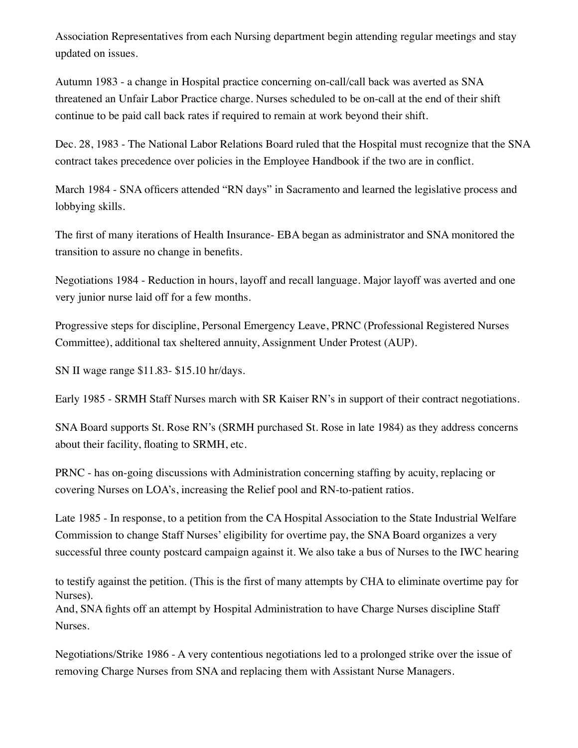Association Representatives from each Nursing department begin attending regular meetings and stay updated on issues.

Autumn 1983 - a change in Hospital practice concerning on-call/call back was averted as SNA threatened an Unfair Labor Practice charge. Nurses scheduled to be on-call at the end of their shift continue to be paid call back rates if required to remain at work beyond their shift.

Dec. 28, 1983 - The National Labor Relations Board ruled that the Hospital must recognize that the SNA contract takes precedence over policies in the Employee Handbook if the two are in conflict.

March 1984 - SNA officers attended "RN days" in Sacramento and learned the legislative process and lobbying skills.

The first of many iterations of Health Insurance- EBA began as administrator and SNA monitored the transition to assure no change in benefits.

Negotiations 1984 - Reduction in hours, layoff and recall language. Major layoff was averted and one very junior nurse laid off for a few months.

Progressive steps for discipline, Personal Emergency Leave, PRNC (Professional Registered Nurses Committee), additional tax sheltered annuity, Assignment Under Protest (AUP).

SN II wage range \$11.83- \$15.10 hr/days.

Early 1985 - SRMH Staff Nurses march with SR Kaiser RN's in support of their contract negotiations.

SNA Board supports St. Rose RN's (SRMH purchased St. Rose in late 1984) as they address concerns about their facility, floating to SRMH, etc.

PRNC - has on-going discussions with Administration concerning staffing by acuity, replacing or covering Nurses on LOA's, increasing the Relief pool and RN-to-patient ratios.

Late 1985 - In response, to a petition from the CA Hospital Association to the State Industrial Welfare Commission to change Staff Nurses' eligibility for overtime pay, the SNA Board organizes a very successful three county postcard campaign against it. We also take a bus of Nurses to the IWC hearing

to testify against the petition. (This is the first of many attempts by CHA to eliminate overtime pay for Nurses).

And, SNA fights off an attempt by Hospital Administration to have Charge Nurses discipline Staff Nurses.

Negotiations/Strike 1986 - A very contentious negotiations led to a prolonged strike over the issue of removing Charge Nurses from SNA and replacing them with Assistant Nurse Managers.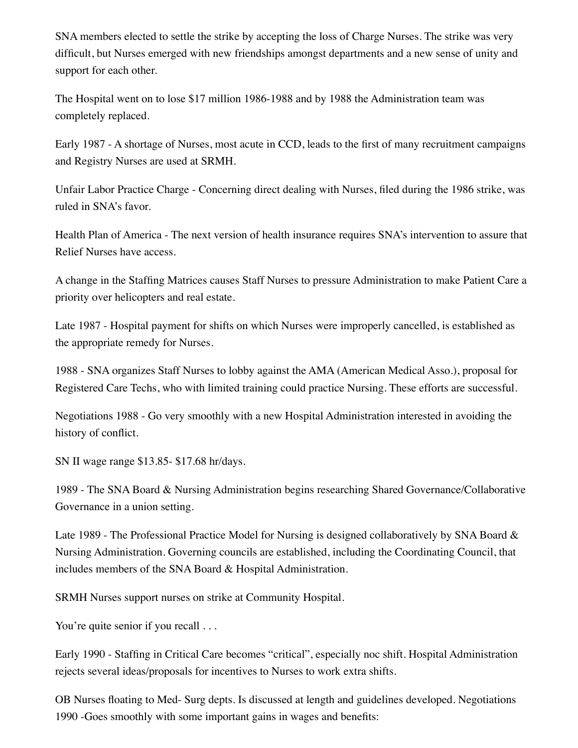SNA members elected to settle the strike by accepting the loss of Charge Nurses. The strike was very difficult, but Nurses emerged with new friendships amongst departments and a new sense of unity and support for each other.

The Hospital went on to lose \$17 million 1986-1988 and by 1988 the Administration team was completely replaced.

Early 1987 - A shortage of Nurses, most acute in CCD, leads to the first of many recruitment campaigns and Registry Nurses are used at SRMH.

Unfair Labor Practice Charge - Concerning direct dealing with Nurses, filed during the 1986 strike, was ruled in SNA's favor.

Health Plan of America - The next version of health insurance requires SNA's intervention to assure that Relief Nurses have access.

A change in the Staffing Matrices causes Staff Nurses to pressure Administration to make Patient Care a priority over helicopters and real estate.

Late 1987 - Hospital payment for shifts on which Nurses were improperly cancelled, is established as the appropriate remedy for Nurses.

1988 - SNA organizes Staff Nurses to lobby against the AMA (American Medical Asso.), proposal for Registered Care Techs, who with limited training could practice Nursing. These efforts are successful.

Negotiations 1988 - Go very smoothly with a new Hospital Administration interested in avoiding the history of conflict.

SN II wage range \$13.85- \$17.68 hr/days.

1989 - The SNA Board & Nursing Administration begins researching Shared Governance/Collaborative Governance in a union setting.

Late 1989 - The Professional Practice Model for Nursing is designed collaboratively by SNA Board & Nursing Administration. Governing councils are established, including the Coordinating Council, that includes members of the SNA Board & Hospital Administration.

SRMH Nurses support nurses on strike at Community Hospital.

You're quite senior if you recall ...

Early 1990 - Staffing in Critical Care becomes "critical", especially noc shift. Hospital Administration rejects several ideas/proposals for incentives to Nurses to work extra shifts.

OB Nurses floating to Med- Surg depts. Is discussed at length and guidelines developed. Negotiations 1990 -Goes smoothly with some important gains in wages and benefits: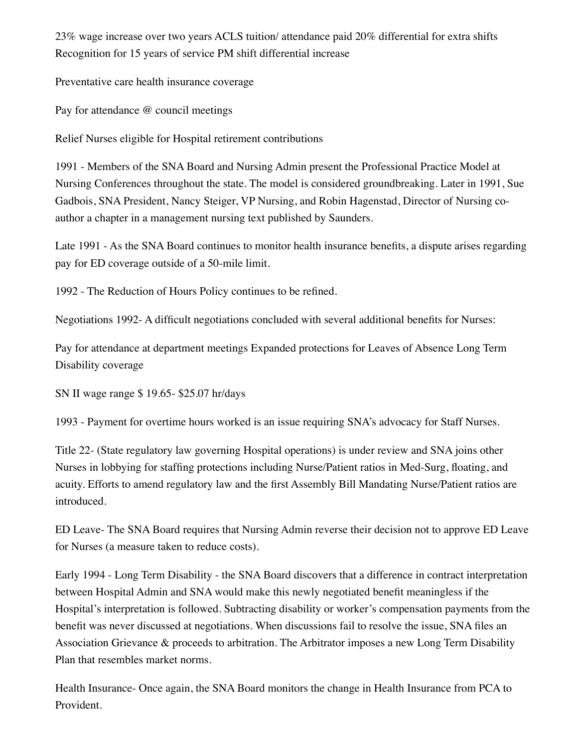23% wage increase over two years ACLS tuition/ attendance paid 20% differential for extra shifts Recognition for 15 years of service PM shift differential increase

Preventative care health insurance coverage

Pay for attendance @ council meetings

Relief Nurses eligible for Hospital retirement contributions

1991 - Members of the SNA Board and Nursing Admin present the Professional Practice Model at Nursing Conferences throughout the state. The model is considered groundbreaking. Later in 1991, Sue Gadbois, SNA President, Nancy Steiger, VP Nursing, and Robin Hagenstad, Director of Nursing coauthor a chapter in a management nursing text published by Saunders.

Late 1991 - As the SNA Board continues to monitor health insurance benefits, a dispute arises regarding pay for ED coverage outside of a 50-mile limit.

1992 - The Reduction of Hours Policy continues to be refined.

Negotiations 1992- A difficult negotiations concluded with several additional benefits for Nurses:

Pay for attendance at department meetings Expanded protections for Leaves of Absence Long Term Disability coverage

SN II wage range \$ 19.65- \$25.07 hr/days

1993 - Payment for overtime hours worked is an issue requiring SNA's advocacy for Staff Nurses.

Title 22- (State regulatory law governing Hospital operations) is under review and SNA joins other Nurses in lobbying for staffing protections including Nurse/Patient ratios in Med-Surg, floating, and acuity. Efforts to amend regulatory law and the first Assembly Bill Mandating Nurse/Patient ratios are introduced.

ED Leave- The SNA Board requires that Nursing Admin reverse their decision not to approve ED Leave for Nurses (a measure taken to reduce costs).

Early 1994 - Long Term Disability - the SNA Board discovers that a difference in contract interpretation between Hospital Admin and SNA would make this newly negotiated benefit meaningless if the Hospital's interpretation is followed. Subtracting disability or worker's compensation payments from the benefit was never discussed at negotiations. When discussions fail to resolve the issue, SNA files an Association Grievance & proceeds to arbitration. The Arbitrator imposes a new Long Term Disability Plan that resembles market norms.

Health Insurance- Once again, the SNA Board monitors the change in Health Insurance from PCA to Provident.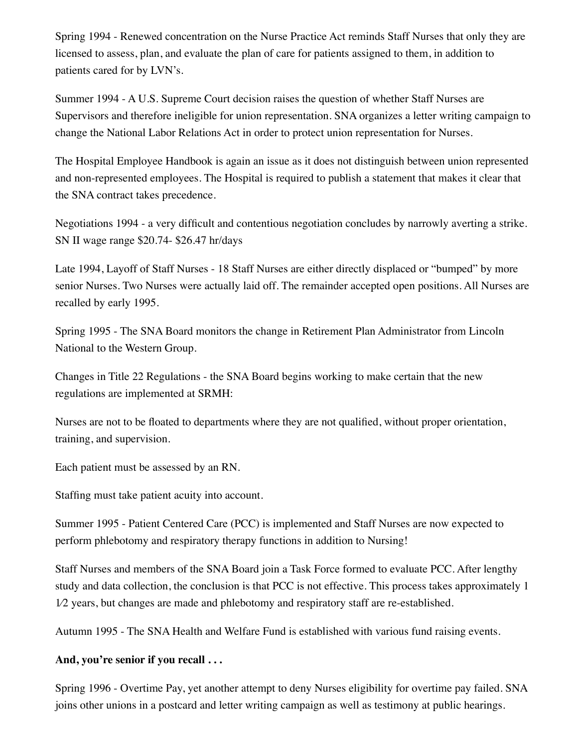Spring 1994 - Renewed concentration on the Nurse Practice Act reminds Staff Nurses that only they are licensed to assess, plan, and evaluate the plan of care for patients assigned to them, in addition to patients cared for by LVN's.

Summer 1994 - A U.S. Supreme Court decision raises the question of whether Staff Nurses are Supervisors and therefore ineligible for union representation. SNA organizes a letter writing campaign to change the National Labor Relations Act in order to protect union representation for Nurses.

The Hospital Employee Handbook is again an issue as it does not distinguish between union represented and non-represented employees. The Hospital is required to publish a statement that makes it clear that the SNA contract takes precedence.

Negotiations 1994 - a very difficult and contentious negotiation concludes by narrowly averting a strike. SN II wage range \$20.74- \$26.47 hr/days

Late 1994, Layoff of Staff Nurses - 18 Staff Nurses are either directly displaced or "bumped" by more senior Nurses. Two Nurses were actually laid off. The remainder accepted open positions. All Nurses are recalled by early 1995.

Spring 1995 - The SNA Board monitors the change in Retirement Plan Administrator from Lincoln National to the Western Group.

Changes in Title 22 Regulations - the SNA Board begins working to make certain that the new regulations are implemented at SRMH:

Nurses are not to be floated to departments where they are not qualified, without proper orientation, training, and supervision.

Each patient must be assessed by an RN.

Staffing must take patient acuity into account.

Summer 1995 - Patient Centered Care (PCC) is implemented and Staff Nurses are now expected to perform phlebotomy and respiratory therapy functions in addition to Nursing!

Staff Nurses and members of the SNA Board join a Task Force formed to evaluate PCC. After lengthy study and data collection, the conclusion is that PCC is not effective. This process takes approximately 1 1⁄2 years, but changes are made and phlebotomy and respiratory staff are re-established.

Autumn 1995 - The SNA Health and Welfare Fund is established with various fund raising events.

#### **And, you're senior if you recall . . .**

Spring 1996 - Overtime Pay, yet another attempt to deny Nurses eligibility for overtime pay failed. SNA joins other unions in a postcard and letter writing campaign as well as testimony at public hearings.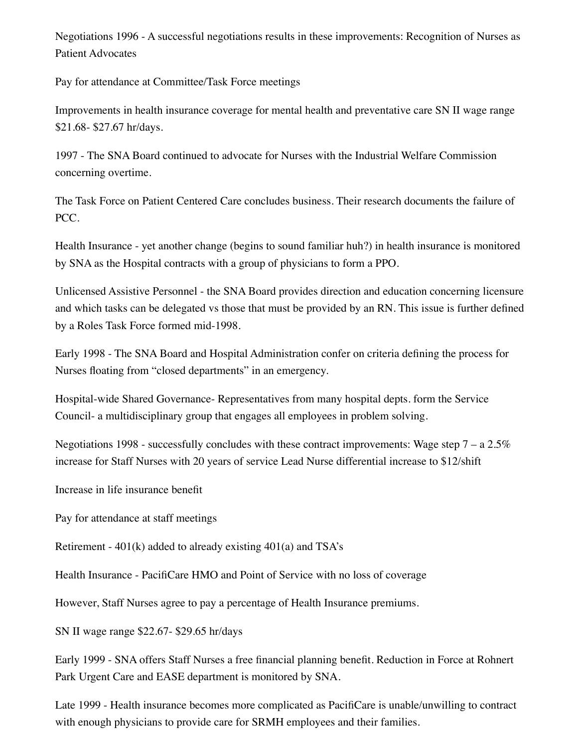Negotiations 1996 - A successful negotiations results in these improvements: Recognition of Nurses as Patient Advocates

Pay for attendance at Committee/Task Force meetings

Improvements in health insurance coverage for mental health and preventative care SN II wage range \$21.68- \$27.67 hr/days.

1997 - The SNA Board continued to advocate for Nurses with the Industrial Welfare Commission concerning overtime.

The Task Force on Patient Centered Care concludes business. Their research documents the failure of PCC.

Health Insurance - yet another change (begins to sound familiar huh?) in health insurance is monitored by SNA as the Hospital contracts with a group of physicians to form a PPO.

Unlicensed Assistive Personnel - the SNA Board provides direction and education concerning licensure and which tasks can be delegated vs those that must be provided by an RN. This issue is further defined by a Roles Task Force formed mid-1998.

Early 1998 - The SNA Board and Hospital Administration confer on criteria defining the process for Nurses floating from "closed departments" in an emergency.

Hospital-wide Shared Governance- Representatives from many hospital depts. form the Service Council- a multidisciplinary group that engages all employees in problem solving.

Negotiations 1998 - successfully concludes with these contract improvements: Wage step  $7 - a \, 2.5\%$ increase for Staff Nurses with 20 years of service Lead Nurse differential increase to \$12/shift

Increase in life insurance benefit

Pay for attendance at staff meetings

Retirement - 401(k) added to already existing 401(a) and TSA's

Health Insurance - PacifiCare HMO and Point of Service with no loss of coverage

However, Staff Nurses agree to pay a percentage of Health Insurance premiums.

SN II wage range \$22.67- \$29.65 hr/days

Early 1999 - SNA offers Staff Nurses a free financial planning benefit. Reduction in Force at Rohnert Park Urgent Care and EASE department is monitored by SNA.

Late 1999 - Health insurance becomes more complicated as PacifiCare is unable/unwilling to contract with enough physicians to provide care for SRMH employees and their families.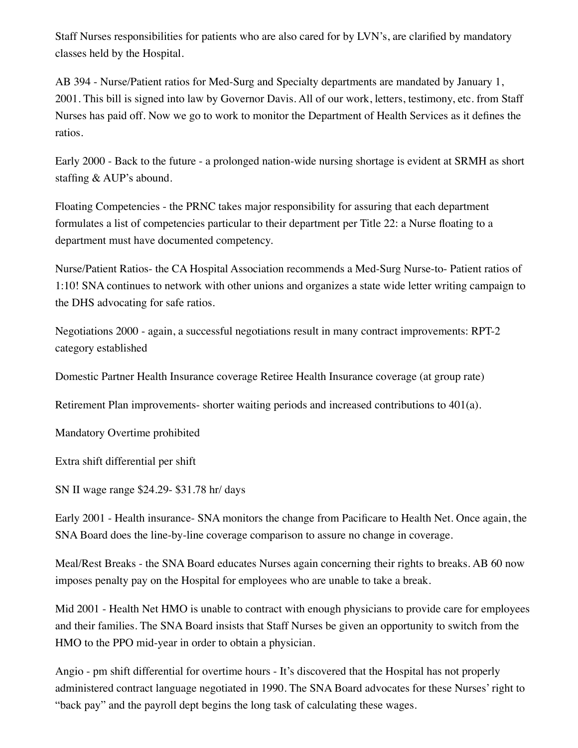Staff Nurses responsibilities for patients who are also cared for by LVN's, are clarified by mandatory classes held by the Hospital.

AB 394 - Nurse/Patient ratios for Med-Surg and Specialty departments are mandated by January 1, 2001. This bill is signed into law by Governor Davis. All of our work, letters, testimony, etc. from Staff Nurses has paid off. Now we go to work to monitor the Department of Health Services as it defines the ratios.

Early 2000 - Back to the future - a prolonged nation-wide nursing shortage is evident at SRMH as short staffing & AUP's abound.

Floating Competencies - the PRNC takes major responsibility for assuring that each department formulates a list of competencies particular to their department per Title 22: a Nurse floating to a department must have documented competency.

Nurse/Patient Ratios- the CA Hospital Association recommends a Med-Surg Nurse-to- Patient ratios of 1:10! SNA continues to network with other unions and organizes a state wide letter writing campaign to the DHS advocating for safe ratios.

Negotiations 2000 - again, a successful negotiations result in many contract improvements: RPT-2 category established

Domestic Partner Health Insurance coverage Retiree Health Insurance coverage (at group rate)

Retirement Plan improvements- shorter waiting periods and increased contributions to 401(a).

Mandatory Overtime prohibited

Extra shift differential per shift

SN II wage range \$24.29- \$31.78 hr/ days

Early 2001 - Health insurance- SNA monitors the change from Pacificare to Health Net. Once again, the SNA Board does the line-by-line coverage comparison to assure no change in coverage.

Meal/Rest Breaks - the SNA Board educates Nurses again concerning their rights to breaks. AB 60 now imposes penalty pay on the Hospital for employees who are unable to take a break.

Mid 2001 - Health Net HMO is unable to contract with enough physicians to provide care for employees and their families. The SNA Board insists that Staff Nurses be given an opportunity to switch from the HMO to the PPO mid-year in order to obtain a physician.

Angio - pm shift differential for overtime hours - It's discovered that the Hospital has not properly administered contract language negotiated in 1990. The SNA Board advocates for these Nurses' right to "back pay" and the payroll dept begins the long task of calculating these wages.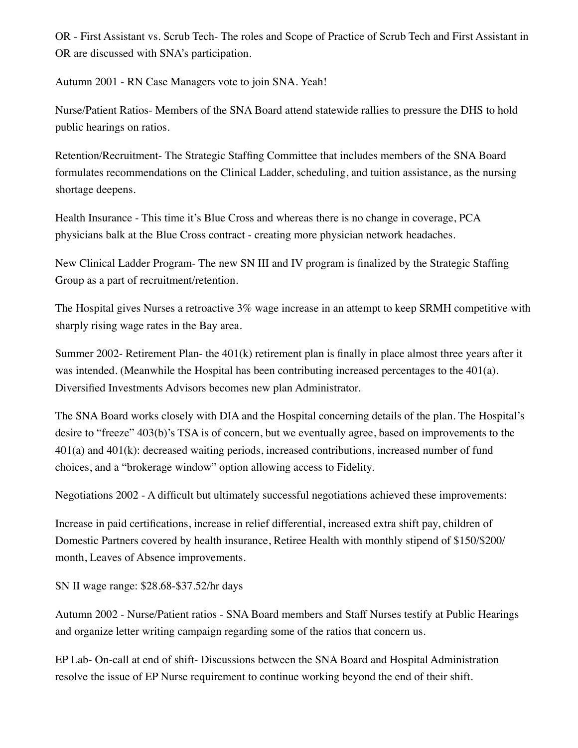OR - First Assistant vs. Scrub Tech- The roles and Scope of Practice of Scrub Tech and First Assistant in OR are discussed with SNA's participation.

Autumn 2001 - RN Case Managers vote to join SNA. Yeah!

Nurse/Patient Ratios- Members of the SNA Board attend statewide rallies to pressure the DHS to hold public hearings on ratios.

Retention/Recruitment- The Strategic Staffing Committee that includes members of the SNA Board formulates recommendations on the Clinical Ladder, scheduling, and tuition assistance, as the nursing shortage deepens.

Health Insurance - This time it's Blue Cross and whereas there is no change in coverage, PCA physicians balk at the Blue Cross contract - creating more physician network headaches.

New Clinical Ladder Program- The new SN III and IV program is finalized by the Strategic Staffing Group as a part of recruitment/retention.

The Hospital gives Nurses a retroactive 3% wage increase in an attempt to keep SRMH competitive with sharply rising wage rates in the Bay area.

Summer 2002- Retirement Plan- the 401(k) retirement plan is finally in place almost three years after it was intended. (Meanwhile the Hospital has been contributing increased percentages to the 401(a). Diversified Investments Advisors becomes new plan Administrator.

The SNA Board works closely with DIA and the Hospital concerning details of the plan. The Hospital's desire to "freeze" 403(b)'s TSA is of concern, but we eventually agree, based on improvements to the 401(a) and 401(k): decreased waiting periods, increased contributions, increased number of fund choices, and a "brokerage window" option allowing access to Fidelity.

Negotiations 2002 - A difficult but ultimately successful negotiations achieved these improvements:

Increase in paid certifications, increase in relief differential, increased extra shift pay, children of Domestic Partners covered by health insurance, Retiree Health with monthly stipend of \$150/\$200/ month, Leaves of Absence improvements.

SN II wage range: \$28.68-\$37.52/hr days

Autumn 2002 - Nurse/Patient ratios - SNA Board members and Staff Nurses testify at Public Hearings and organize letter writing campaign regarding some of the ratios that concern us.

EP Lab- On-call at end of shift- Discussions between the SNA Board and Hospital Administration resolve the issue of EP Nurse requirement to continue working beyond the end of their shift.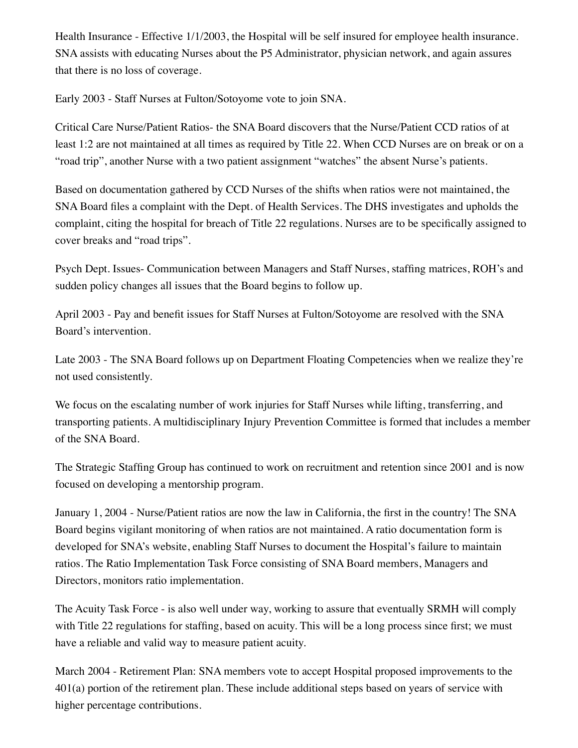Health Insurance - Effective 1/1/2003, the Hospital will be self insured for employee health insurance. SNA assists with educating Nurses about the P5 Administrator, physician network, and again assures that there is no loss of coverage.

Early 2003 - Staff Nurses at Fulton/Sotoyome vote to join SNA.

Critical Care Nurse/Patient Ratios- the SNA Board discovers that the Nurse/Patient CCD ratios of at least 1:2 are not maintained at all times as required by Title 22. When CCD Nurses are on break or on a "road trip", another Nurse with a two patient assignment "watches" the absent Nurse's patients.

Based on documentation gathered by CCD Nurses of the shifts when ratios were not maintained, the SNA Board files a complaint with the Dept. of Health Services. The DHS investigates and upholds the complaint, citing the hospital for breach of Title 22 regulations. Nurses are to be specifically assigned to cover breaks and "road trips".

Psych Dept. Issues- Communication between Managers and Staff Nurses, staffing matrices, ROH's and sudden policy changes all issues that the Board begins to follow up.

April 2003 - Pay and benefit issues for Staff Nurses at Fulton/Sotoyome are resolved with the SNA Board's intervention.

Late 2003 - The SNA Board follows up on Department Floating Competencies when we realize they're not used consistently.

We focus on the escalating number of work injuries for Staff Nurses while lifting, transferring, and transporting patients. A multidisciplinary Injury Prevention Committee is formed that includes a member of the SNA Board.

The Strategic Staffing Group has continued to work on recruitment and retention since 2001 and is now focused on developing a mentorship program.

January 1, 2004 - Nurse/Patient ratios are now the law in California, the first in the country! The SNA Board begins vigilant monitoring of when ratios are not maintained. A ratio documentation form is developed for SNA's website, enabling Staff Nurses to document the Hospital's failure to maintain ratios. The Ratio Implementation Task Force consisting of SNA Board members, Managers and Directors, monitors ratio implementation.

The Acuity Task Force - is also well under way, working to assure that eventually SRMH will comply with Title 22 regulations for staffing, based on acuity. This will be a long process since first; we must have a reliable and valid way to measure patient acuity.

March 2004 - Retirement Plan: SNA members vote to accept Hospital proposed improvements to the 401(a) portion of the retirement plan. These include additional steps based on years of service with higher percentage contributions.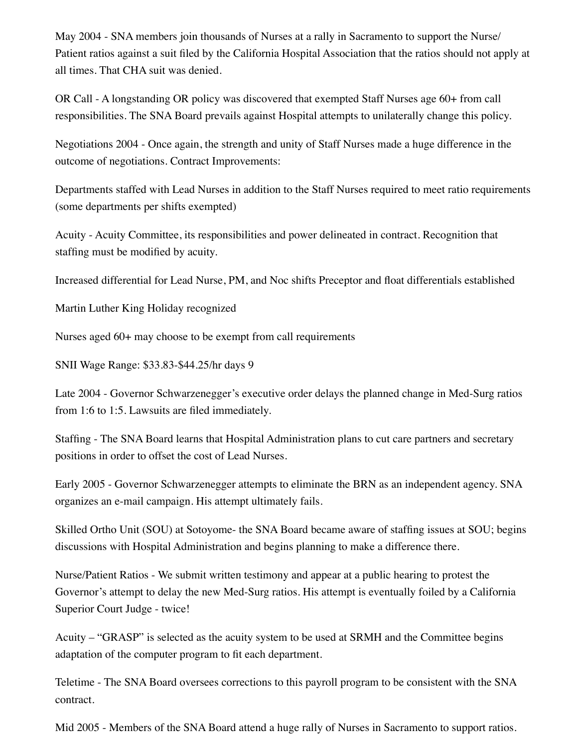May 2004 - SNA members join thousands of Nurses at a rally in Sacramento to support the Nurse/ Patient ratios against a suit filed by the California Hospital Association that the ratios should not apply at all times. That CHA suit was denied.

OR Call - A longstanding OR policy was discovered that exempted Staff Nurses age 60+ from call responsibilities. The SNA Board prevails against Hospital attempts to unilaterally change this policy.

Negotiations 2004 - Once again, the strength and unity of Staff Nurses made a huge difference in the outcome of negotiations. Contract Improvements:

Departments staffed with Lead Nurses in addition to the Staff Nurses required to meet ratio requirements (some departments per shifts exempted)

Acuity - Acuity Committee, its responsibilities and power delineated in contract. Recognition that staffing must be modified by acuity.

Increased differential for Lead Nurse, PM, and Noc shifts Preceptor and float differentials established

Martin Luther King Holiday recognized

Nurses aged 60+ may choose to be exempt from call requirements

SNII Wage Range: \$33.83-\$44.25/hr days 9

Late 2004 - Governor Schwarzenegger's executive order delays the planned change in Med-Surg ratios from 1:6 to 1:5. Lawsuits are filed immediately.

Staffing - The SNA Board learns that Hospital Administration plans to cut care partners and secretary positions in order to offset the cost of Lead Nurses.

Early 2005 - Governor Schwarzenegger attempts to eliminate the BRN as an independent agency. SNA organizes an e-mail campaign. His attempt ultimately fails.

Skilled Ortho Unit (SOU) at Sotoyome- the SNA Board became aware of staffing issues at SOU; begins discussions with Hospital Administration and begins planning to make a difference there.

Nurse/Patient Ratios - We submit written testimony and appear at a public hearing to protest the Governor's attempt to delay the new Med-Surg ratios. His attempt is eventually foiled by a California Superior Court Judge - twice!

Acuity – "GRASP" is selected as the acuity system to be used at SRMH and the Committee begins adaptation of the computer program to fit each department.

Teletime - The SNA Board oversees corrections to this payroll program to be consistent with the SNA contract.

Mid 2005 - Members of the SNA Board attend a huge rally of Nurses in Sacramento to support ratios.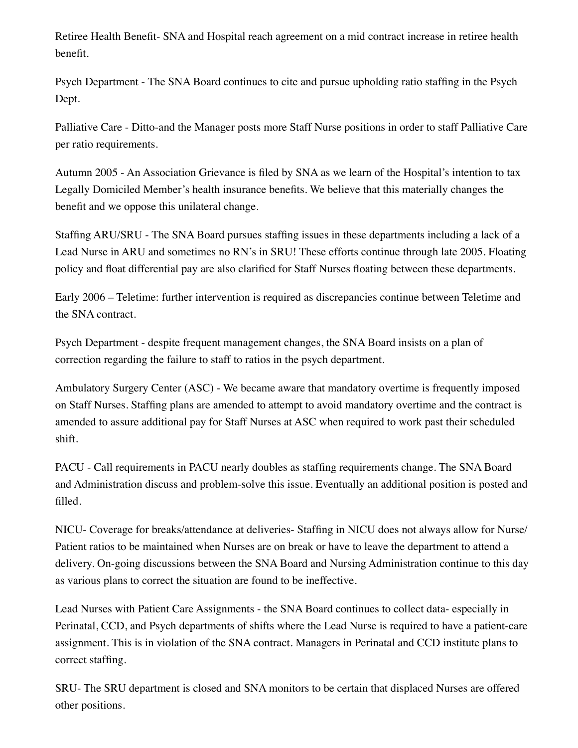Retiree Health Benefit- SNA and Hospital reach agreement on a mid contract increase in retiree health benefit.

Psych Department - The SNA Board continues to cite and pursue upholding ratio staffing in the Psych Dept.

Palliative Care - Ditto-and the Manager posts more Staff Nurse positions in order to staff Palliative Care per ratio requirements.

Autumn 2005 - An Association Grievance is filed by SNA as we learn of the Hospital's intention to tax Legally Domiciled Member's health insurance benefits. We believe that this materially changes the benefit and we oppose this unilateral change.

Staffing ARU/SRU - The SNA Board pursues staffing issues in these departments including a lack of a Lead Nurse in ARU and sometimes no RN's in SRU! These efforts continue through late 2005. Floating policy and float differential pay are also clarified for Staff Nurses floating between these departments.

Early 2006 – Teletime: further intervention is required as discrepancies continue between Teletime and the SNA contract.

Psych Department - despite frequent management changes, the SNA Board insists on a plan of correction regarding the failure to staff to ratios in the psych department.

Ambulatory Surgery Center (ASC) - We became aware that mandatory overtime is frequently imposed on Staff Nurses. Staffing plans are amended to attempt to avoid mandatory overtime and the contract is amended to assure additional pay for Staff Nurses at ASC when required to work past their scheduled shift.

PACU - Call requirements in PACU nearly doubles as staffing requirements change. The SNA Board and Administration discuss and problem-solve this issue. Eventually an additional position is posted and filled.

NICU- Coverage for breaks/attendance at deliveries- Staffing in NICU does not always allow for Nurse/ Patient ratios to be maintained when Nurses are on break or have to leave the department to attend a delivery. On-going discussions between the SNA Board and Nursing Administration continue to this day as various plans to correct the situation are found to be ineffective.

Lead Nurses with Patient Care Assignments - the SNA Board continues to collect data- especially in Perinatal, CCD, and Psych departments of shifts where the Lead Nurse is required to have a patient-care assignment. This is in violation of the SNA contract. Managers in Perinatal and CCD institute plans to correct staffing.

SRU- The SRU department is closed and SNA monitors to be certain that displaced Nurses are offered other positions.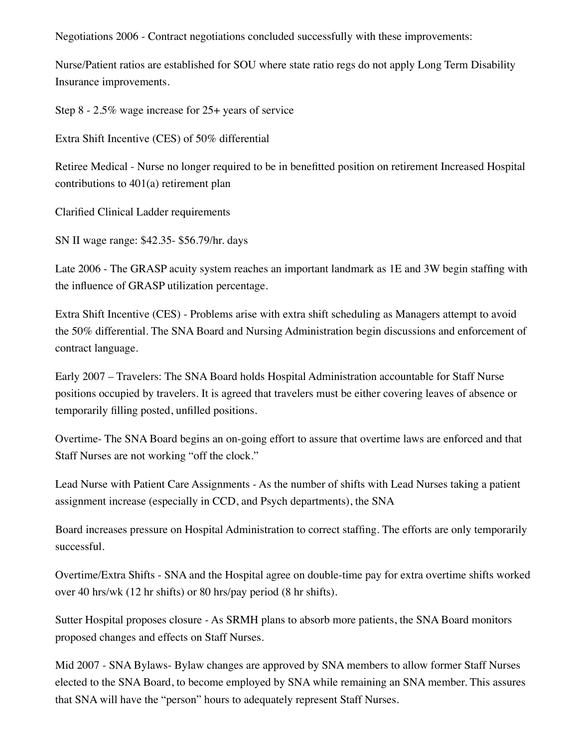Negotiations 2006 - Contract negotiations concluded successfully with these improvements:

Nurse/Patient ratios are established for SOU where state ratio regs do not apply Long Term Disability Insurance improvements.

Step 8 - 2.5% wage increase for 25+ years of service

Extra Shift Incentive (CES) of 50% differential

Retiree Medical - Nurse no longer required to be in benefitted position on retirement Increased Hospital contributions to 401(a) retirement plan

Clarified Clinical Ladder requirements

SN II wage range: \$42.35- \$56.79/hr. days

Late 2006 - The GRASP acuity system reaches an important landmark as 1E and 3W begin staffing with the influence of GRASP utilization percentage.

Extra Shift Incentive (CES) - Problems arise with extra shift scheduling as Managers attempt to avoid the 50% differential. The SNA Board and Nursing Administration begin discussions and enforcement of contract language.

Early 2007 – Travelers: The SNA Board holds Hospital Administration accountable for Staff Nurse positions occupied by travelers. It is agreed that travelers must be either covering leaves of absence or temporarily filling posted, unfilled positions.

Overtime- The SNA Board begins an on-going effort to assure that overtime laws are enforced and that Staff Nurses are not working "off the clock."

Lead Nurse with Patient Care Assignments - As the number of shifts with Lead Nurses taking a patient assignment increase (especially in CCD, and Psych departments), the SNA

Board increases pressure on Hospital Administration to correct staffing. The efforts are only temporarily successful.

Overtime/Extra Shifts - SNA and the Hospital agree on double-time pay for extra overtime shifts worked over 40 hrs/wk (12 hr shifts) or 80 hrs/pay period (8 hr shifts).

Sutter Hospital proposes closure - As SRMH plans to absorb more patients, the SNA Board monitors proposed changes and effects on Staff Nurses.

Mid 2007 - SNA Bylaws- Bylaw changes are approved by SNA members to allow former Staff Nurses elected to the SNA Board, to become employed by SNA while remaining an SNA member. This assures that SNA will have the "person" hours to adequately represent Staff Nurses.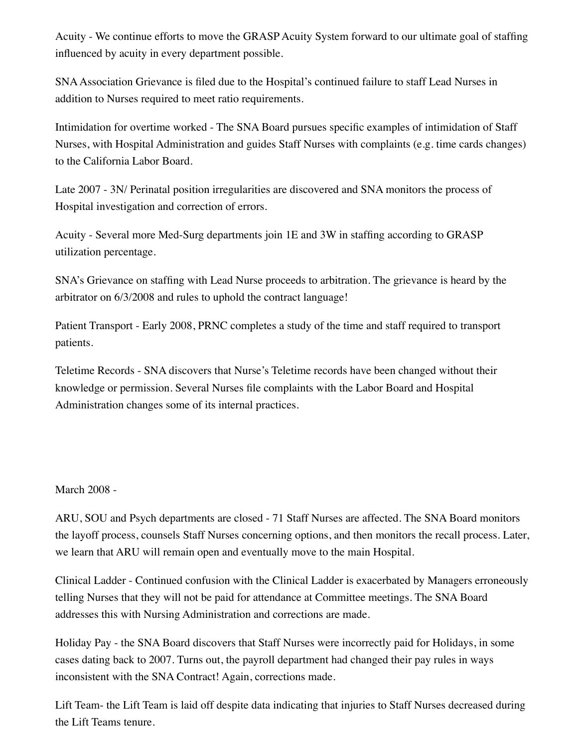Acuity - We continue efforts to move the GRASP Acuity System forward to our ultimate goal of staffing influenced by acuity in every department possible.

SNA Association Grievance is filed due to the Hospital's continued failure to staff Lead Nurses in addition to Nurses required to meet ratio requirements.

Intimidation for overtime worked - The SNA Board pursues specific examples of intimidation of Staff Nurses, with Hospital Administration and guides Staff Nurses with complaints (e.g. time cards changes) to the California Labor Board.

Late 2007 - 3N/ Perinatal position irregularities are discovered and SNA monitors the process of Hospital investigation and correction of errors.

Acuity - Several more Med-Surg departments join 1E and 3W in staffing according to GRASP utilization percentage.

SNA's Grievance on staffing with Lead Nurse proceeds to arbitration. The grievance is heard by the arbitrator on 6/3/2008 and rules to uphold the contract language!

Patient Transport - Early 2008, PRNC completes a study of the time and staff required to transport patients.

Teletime Records - SNA discovers that Nurse's Teletime records have been changed without their knowledge or permission. Several Nurses file complaints with the Labor Board and Hospital Administration changes some of its internal practices.

#### March 2008 -

ARU, SOU and Psych departments are closed - 71 Staff Nurses are affected. The SNA Board monitors the layoff process, counsels Staff Nurses concerning options, and then monitors the recall process. Later, we learn that ARU will remain open and eventually move to the main Hospital.

Clinical Ladder - Continued confusion with the Clinical Ladder is exacerbated by Managers erroneously telling Nurses that they will not be paid for attendance at Committee meetings. The SNA Board addresses this with Nursing Administration and corrections are made.

Holiday Pay - the SNA Board discovers that Staff Nurses were incorrectly paid for Holidays, in some cases dating back to 2007. Turns out, the payroll department had changed their pay rules in ways inconsistent with the SNA Contract! Again, corrections made.

Lift Team- the Lift Team is laid off despite data indicating that injuries to Staff Nurses decreased during the Lift Teams tenure.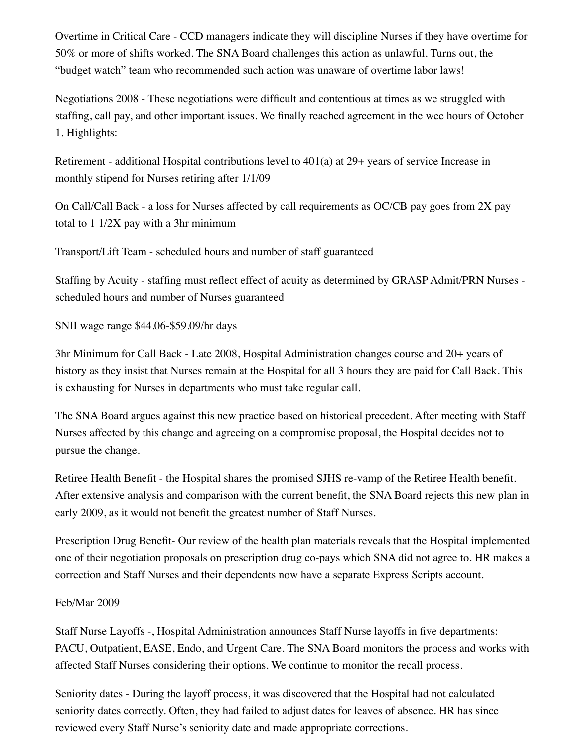Overtime in Critical Care - CCD managers indicate they will discipline Nurses if they have overtime for 50% or more of shifts worked. The SNA Board challenges this action as unlawful. Turns out, the "budget watch" team who recommended such action was unaware of overtime labor laws!

Negotiations 2008 - These negotiations were difficult and contentious at times as we struggled with staffing, call pay, and other important issues. We finally reached agreement in the wee hours of October 1. Highlights:

Retirement - additional Hospital contributions level to 401(a) at 29+ years of service Increase in monthly stipend for Nurses retiring after 1/1/09

On Call/Call Back - a loss for Nurses affected by call requirements as OC/CB pay goes from 2X pay total to 1 1/2X pay with a 3hr minimum

Transport/Lift Team - scheduled hours and number of staff guaranteed

Staffing by Acuity - staffing must reflect effect of acuity as determined by GRASP Admit/PRN Nurses scheduled hours and number of Nurses guaranteed

SNII wage range \$44.06-\$59.09/hr days

3hr Minimum for Call Back - Late 2008, Hospital Administration changes course and 20+ years of history as they insist that Nurses remain at the Hospital for all 3 hours they are paid for Call Back. This is exhausting for Nurses in departments who must take regular call.

The SNA Board argues against this new practice based on historical precedent. After meeting with Staff Nurses affected by this change and agreeing on a compromise proposal, the Hospital decides not to pursue the change.

Retiree Health Benefit - the Hospital shares the promised SJHS re-vamp of the Retiree Health benefit. After extensive analysis and comparison with the current benefit, the SNA Board rejects this new plan in early 2009, as it would not benefit the greatest number of Staff Nurses.

Prescription Drug Benefit- Our review of the health plan materials reveals that the Hospital implemented one of their negotiation proposals on prescription drug co-pays which SNA did not agree to. HR makes a correction and Staff Nurses and their dependents now have a separate Express Scripts account.

#### Feb/Mar 2009

Staff Nurse Layoffs -, Hospital Administration announces Staff Nurse layoffs in five departments: PACU, Outpatient, EASE, Endo, and Urgent Care. The SNA Board monitors the process and works with affected Staff Nurses considering their options. We continue to monitor the recall process.

Seniority dates - During the layoff process, it was discovered that the Hospital had not calculated seniority dates correctly. Often, they had failed to adjust dates for leaves of absence. HR has since reviewed every Staff Nurse's seniority date and made appropriate corrections.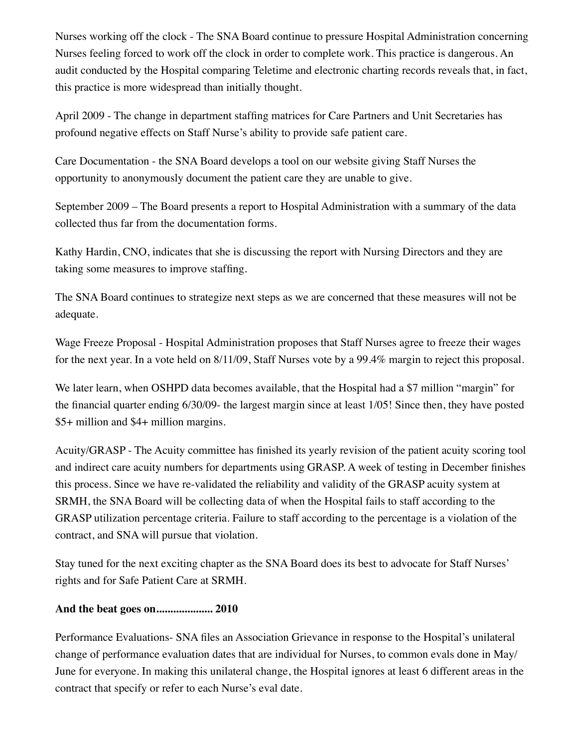Nurses working off the clock - The SNA Board continue to pressure Hospital Administration concerning Nurses feeling forced to work off the clock in order to complete work. This practice is dangerous. An audit conducted by the Hospital comparing Teletime and electronic charting records reveals that, in fact, this practice is more widespread than initially thought.

April 2009 - The change in department staffing matrices for Care Partners and Unit Secretaries has profound negative effects on Staff Nurse's ability to provide safe patient care.

Care Documentation - the SNA Board develops a tool on our website giving Staff Nurses the opportunity to anonymously document the patient care they are unable to give.

September 2009 – The Board presents a report to Hospital Administration with a summary of the data collected thus far from the documentation forms.

Kathy Hardin, CNO, indicates that she is discussing the report with Nursing Directors and they are taking some measures to improve staffing.

The SNA Board continues to strategize next steps as we are concerned that these measures will not be adequate.

Wage Freeze Proposal - Hospital Administration proposes that Staff Nurses agree to freeze their wages for the next year. In a vote held on 8/11/09, Staff Nurses vote by a 99.4% margin to reject this proposal.

We later learn, when OSHPD data becomes available, that the Hospital had a \$7 million "margin" for the financial quarter ending 6/30/09- the largest margin since at least 1/05! Since then, they have posted \$5+ million and \$4+ million margins.

Acuity/GRASP - The Acuity committee has finished its yearly revision of the patient acuity scoring tool and indirect care acuity numbers for departments using GRASP. A week of testing in December finishes this process. Since we have re-validated the reliability and validity of the GRASP acuity system at SRMH, the SNA Board will be collecting data of when the Hospital fails to staff according to the GRASP utilization percentage criteria. Failure to staff according to the percentage is a violation of the contract, and SNA will pursue that violation.

Stay tuned for the next exciting chapter as the SNA Board does its best to advocate for Staff Nurses' rights and for Safe Patient Care at SRMH.

#### **And the beat goes on.................... 2010**

Performance Evaluations- SNA files an Association Grievance in response to the Hospital's unilateral change of performance evaluation dates that are individual for Nurses, to common evals done in May/ June for everyone. In making this unilateral change, the Hospital ignores at least 6 different areas in the contract that specify or refer to each Nurse's eval date.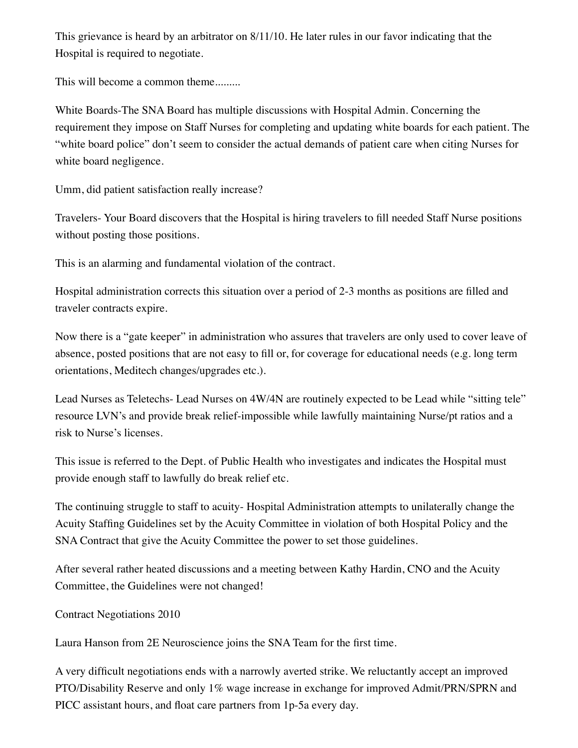This grievance is heard by an arbitrator on 8/11/10. He later rules in our favor indicating that the Hospital is required to negotiate.

This will become a common theme.........

White Boards-The SNA Board has multiple discussions with Hospital Admin. Concerning the requirement they impose on Staff Nurses for completing and updating white boards for each patient. The "white board police" don't seem to consider the actual demands of patient care when citing Nurses for white board negligence.

Umm, did patient satisfaction really increase?

Travelers- Your Board discovers that the Hospital is hiring travelers to fill needed Staff Nurse positions without posting those positions.

This is an alarming and fundamental violation of the contract.

Hospital administration corrects this situation over a period of 2-3 months as positions are filled and traveler contracts expire.

Now there is a "gate keeper" in administration who assures that travelers are only used to cover leave of absence, posted positions that are not easy to fill or, for coverage for educational needs (e.g. long term orientations, Meditech changes/upgrades etc.).

Lead Nurses as Teletechs- Lead Nurses on 4W/4N are routinely expected to be Lead while "sitting tele" resource LVN's and provide break relief-impossible while lawfully maintaining Nurse/pt ratios and a risk to Nurse's licenses.

This issue is referred to the Dept. of Public Health who investigates and indicates the Hospital must provide enough staff to lawfully do break relief etc.

The continuing struggle to staff to acuity- Hospital Administration attempts to unilaterally change the Acuity Staffing Guidelines set by the Acuity Committee in violation of both Hospital Policy and the SNA Contract that give the Acuity Committee the power to set those guidelines.

After several rather heated discussions and a meeting between Kathy Hardin, CNO and the Acuity Committee, the Guidelines were not changed!

Contract Negotiations 2010

Laura Hanson from 2E Neuroscience joins the SNA Team for the first time.

A very difficult negotiations ends with a narrowly averted strike. We reluctantly accept an improved PTO/Disability Reserve and only 1% wage increase in exchange for improved Admit/PRN/SPRN and PICC assistant hours, and float care partners from 1p-5a every day.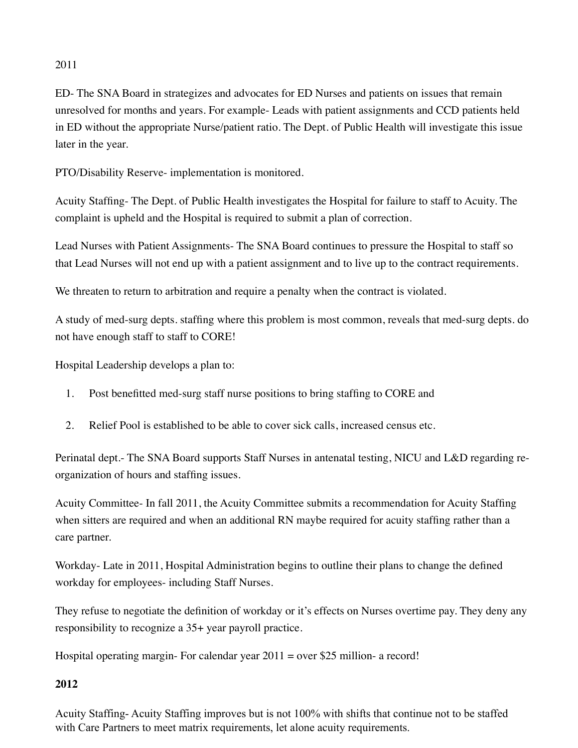# 2011

ED- The SNA Board in strategizes and advocates for ED Nurses and patients on issues that remain unresolved for months and years. For example- Leads with patient assignments and CCD patients held in ED without the appropriate Nurse/patient ratio. The Dept. of Public Health will investigate this issue later in the year.

PTO/Disability Reserve- implementation is monitored.

Acuity Staffing- The Dept. of Public Health investigates the Hospital for failure to staff to Acuity. The complaint is upheld and the Hospital is required to submit a plan of correction.

Lead Nurses with Patient Assignments- The SNA Board continues to pressure the Hospital to staff so that Lead Nurses will not end up with a patient assignment and to live up to the contract requirements.

We threaten to return to arbitration and require a penalty when the contract is violated.

A study of med-surg depts. staffing where this problem is most common, reveals that med-surg depts. do not have enough staff to staff to CORE!

Hospital Leadership develops a plan to:

- 1. Post benefitted med-surg staff nurse positions to bring staffing to CORE and
- 2. Relief Pool is established to be able to cover sick calls, increased census etc.

Perinatal dept.- The SNA Board supports Staff Nurses in antenatal testing, NICU and L&D regarding reorganization of hours and staffing issues.

Acuity Committee- In fall 2011, the Acuity Committee submits a recommendation for Acuity Staffing when sitters are required and when an additional RN maybe required for acuity staffing rather than a care partner.

Workday- Late in 2011, Hospital Administration begins to outline their plans to change the defined workday for employees- including Staff Nurses.

They refuse to negotiate the definition of workday or it's effects on Nurses overtime pay. They deny any responsibility to recognize a 35+ year payroll practice.

Hospital operating margin- For calendar year 2011 = over \$25 million- a record!

# **2012**

Acuity Staffing- Acuity Staffing improves but is not 100% with shifts that continue not to be staffed with Care Partners to meet matrix requirements, let alone acuity requirements.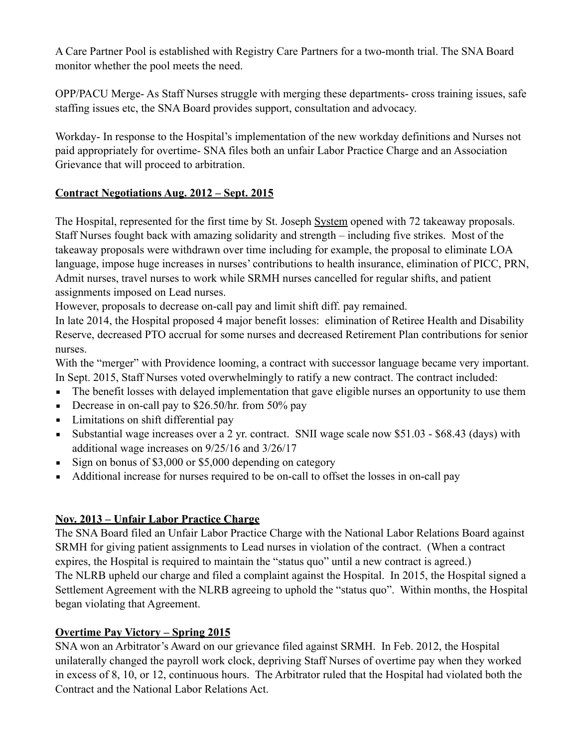A Care Partner Pool is established with Registry Care Partners for a two-month trial. The SNA Board monitor whether the pool meets the need.

OPP/PACU Merge- As Staff Nurses struggle with merging these departments- cross training issues, safe staffing issues etc, the SNA Board provides support, consultation and advocacy.

Workday- In response to the Hospital's implementation of the new workday definitions and Nurses not paid appropriately for overtime- SNA files both an unfair Labor Practice Charge and an Association Grievance that will proceed to arbitration.

# **Contract Negotiations Aug. 2012 – Sept. 2015**

The Hospital, represented for the first time by St. Joseph System opened with 72 takeaway proposals. Staff Nurses fought back with amazing solidarity and strength – including five strikes. Most of the takeaway proposals were withdrawn over time including for example, the proposal to eliminate LOA language, impose huge increases in nurses' contributions to health insurance, elimination of PICC, PRN, Admit nurses, travel nurses to work while SRMH nurses cancelled for regular shifts, and patient assignments imposed on Lead nurses.

However, proposals to decrease on-call pay and limit shift diff. pay remained.

In late 2014, the Hospital proposed 4 major benefit losses: elimination of Retiree Health and Disability Reserve, decreased PTO accrual for some nurses and decreased Retirement Plan contributions for senior nurses.

With the "merger" with Providence looming, a contract with successor language became very important. In Sept. 2015, Staff Nurses voted overwhelmingly to ratify a new contract. The contract included:

- **•** The benefit losses with delayed implementation that gave eligible nurses an opportunity to use them
- **•** Decrease in on-call pay to  $$26.50/hr$ . from 50% pay
- **•** Limitations on shift differential pay
- Example 1 Substantial wage increases over a 2 yr. contract. SNII wage scale now \$51.03 \$68.43 (days) with additional wage increases on 9/25/16 and 3/26/17
- Sign on bonus of \$3,000 or \$5,000 depending on category
- Additional increase for nurses required to be on-call to offset the losses in on-call pay

# **Nov. 2013 – Unfair Labor Practice Charge**

The SNA Board filed an Unfair Labor Practice Charge with the National Labor Relations Board against SRMH for giving patient assignments to Lead nurses in violation of the contract. (When a contract expires, the Hospital is required to maintain the "status quo" until a new contract is agreed.) The NLRB upheld our charge and filed a complaint against the Hospital. In 2015, the Hospital signed a Settlement Agreement with the NLRB agreeing to uphold the "status quo". Within months, the Hospital began violating that Agreement.

#### **Overtime Pay Victory – Spring 2015**

SNA won an Arbitrator's Award on our grievance filed against SRMH. In Feb. 2012, the Hospital unilaterally changed the payroll work clock, depriving Staff Nurses of overtime pay when they worked in excess of 8, 10, or 12, continuous hours. The Arbitrator ruled that the Hospital had violated both the Contract and the National Labor Relations Act.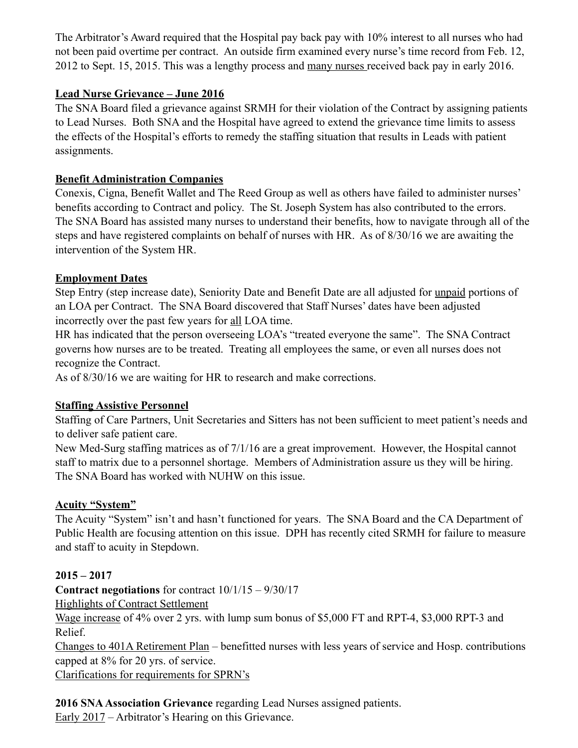The Arbitrator's Award required that the Hospital pay back pay with 10% interest to all nurses who had not been paid overtime per contract. An outside firm examined every nurse's time record from Feb. 12, 2012 to Sept. 15, 2015. This was a lengthy process and many nurses received back pay in early 2016.

# **Lead Nurse Grievance – June 2016**

The SNA Board filed a grievance against SRMH for their violation of the Contract by assigning patients to Lead Nurses. Both SNA and the Hospital have agreed to extend the grievance time limits to assess the effects of the Hospital's efforts to remedy the staffing situation that results in Leads with patient assignments.

### **Benefit Administration Companies**

Conexis, Cigna, Benefit Wallet and The Reed Group as well as others have failed to administer nurses' benefits according to Contract and policy. The St. Joseph System has also contributed to the errors. The SNA Board has assisted many nurses to understand their benefits, how to navigate through all of the steps and have registered complaints on behalf of nurses with HR. As of 8/30/16 we are awaiting the intervention of the System HR.

## **Employment Dates**

Step Entry (step increase date), Seniority Date and Benefit Date are all adjusted for unpaid portions of an LOA per Contract. The SNA Board discovered that Staff Nurses' dates have been adjusted incorrectly over the past few years for all LOA time.

HR has indicated that the person overseeing LOA's "treated everyone the same". The SNA Contract governs how nurses are to be treated. Treating all employees the same, or even all nurses does not recognize the Contract.

As of 8/30/16 we are waiting for HR to research and make corrections.

#### **Staffing Assistive Personnel**

Staffing of Care Partners, Unit Secretaries and Sitters has not been sufficient to meet patient's needs and to deliver safe patient care.

New Med-Surg staffing matrices as of 7/1/16 are a great improvement. However, the Hospital cannot staff to matrix due to a personnel shortage. Members of Administration assure us they will be hiring. The SNA Board has worked with NUHW on this issue.

#### **Acuity "System"**

The Acuity "System" isn't and hasn't functioned for years. The SNA Board and the CA Department of Public Health are focusing attention on this issue. DPH has recently cited SRMH for failure to measure and staff to acuity in Stepdown.

# **2015 – 2017**

**Contract negotiations** for contract 10/1/15 – 9/30/17

#### Highlights of Contract Settlement

Wage increase of 4% over 2 yrs. with lump sum bonus of \$5,000 FT and RPT-4, \$3,000 RPT-3 and Relief.

Changes to 401A Retirement Plan – benefitted nurses with less years of service and Hosp. contributions capped at 8% for 20 yrs. of service.

Clarifications for requirements for SPRN's

**2016 SNA Association Grievance** regarding Lead Nurses assigned patients.

Early 2017 – Arbitrator's Hearing on this Grievance.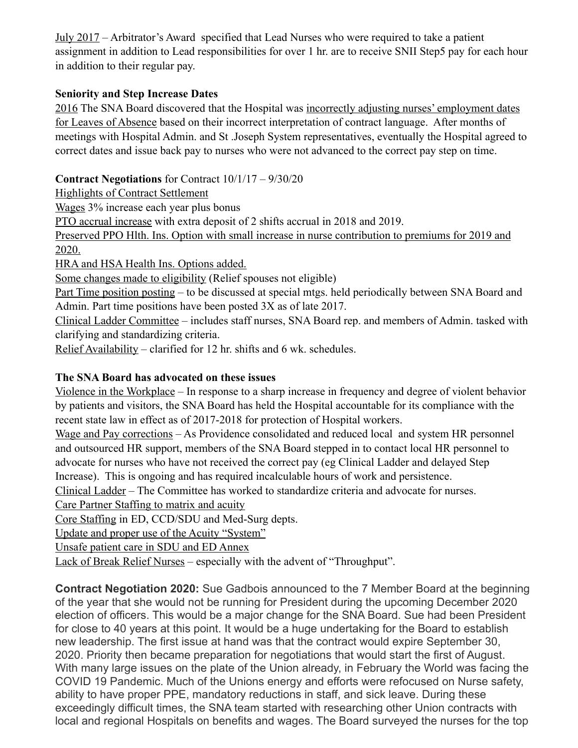July 2017 – Arbitrator's Award specified that Lead Nurses who were required to take a patient assignment in addition to Lead responsibilities for over 1 hr. are to receive SNII Step5 pay for each hour in addition to their regular pay.

# **Seniority and Step Increase Dates**

2016 The SNA Board discovered that the Hospital was incorrectly adjusting nurses' employment dates for Leaves of Absence based on their incorrect interpretation of contract language. After months of meetings with Hospital Admin. and St .Joseph System representatives, eventually the Hospital agreed to correct dates and issue back pay to nurses who were not advanced to the correct pay step on time.

### **Contract Negotiations** for Contract 10/1/17 – 9/30/20

Highlights of Contract Settlement

Wages 3% increase each year plus bonus

PTO accrual increase with extra deposit of 2 shifts accrual in 2018 and 2019.

Preserved PPO Hlth. Ins. Option with small increase in nurse contribution to premiums for 2019 and 2020.

HRA and HSA Health Ins. Options added.

Some changes made to eligibility (Relief spouses not eligible)

Part Time position posting – to be discussed at special mtgs. held periodically between SNA Board and Admin. Part time positions have been posted 3X as of late 2017.

Clinical Ladder Committee – includes staff nurses, SNA Board rep. and members of Admin. tasked with clarifying and standardizing criteria.

Relief Availability – clarified for 12 hr. shifts and 6 wk. schedules.

# **The SNA Board has advocated on these issues**

Violence in the Workplace – In response to a sharp increase in frequency and degree of violent behavior by patients and visitors, the SNA Board has held the Hospital accountable for its compliance with the recent state law in effect as of 2017-2018 for protection of Hospital workers.

Wage and Pay corrections – As Providence consolidated and reduced local and system HR personnel and outsourced HR support, members of the SNA Board stepped in to contact local HR personnel to advocate for nurses who have not received the correct pay (eg Clinical Ladder and delayed Step Increase). This is ongoing and has required incalculable hours of work and persistence.

Clinical Ladder – The Committee has worked to standardize criteria and advocate for nurses.

Care Partner Staffing to matrix and acuity

Core Staffing in ED, CCD/SDU and Med-Surg depts.

Update and proper use of the Acuity "System"

Unsafe patient care in SDU and ED Annex

Lack of Break Relief Nurses – especially with the advent of "Throughput".

**Contract Negotiation 2020:** Sue Gadbois announced to the 7 Member Board at the beginning of the year that she would not be running for President during the upcoming December 2020 election of officers. This would be a major change for the SNA Board. Sue had been President for close to 40 years at this point. It would be a huge undertaking for the Board to establish new leadership. The first issue at hand was that the contract would expire September 30, 2020. Priority then became preparation for negotiations that would start the first of August. With many large issues on the plate of the Union already, in February the World was facing the COVID 19 Pandemic. Much of the Unions energy and efforts were refocused on Nurse safety, ability to have proper PPE, mandatory reductions in staff, and sick leave. During these exceedingly difficult times, the SNA team started with researching other Union contracts with local and regional Hospitals on benefits and wages. The Board surveyed the nurses for the top